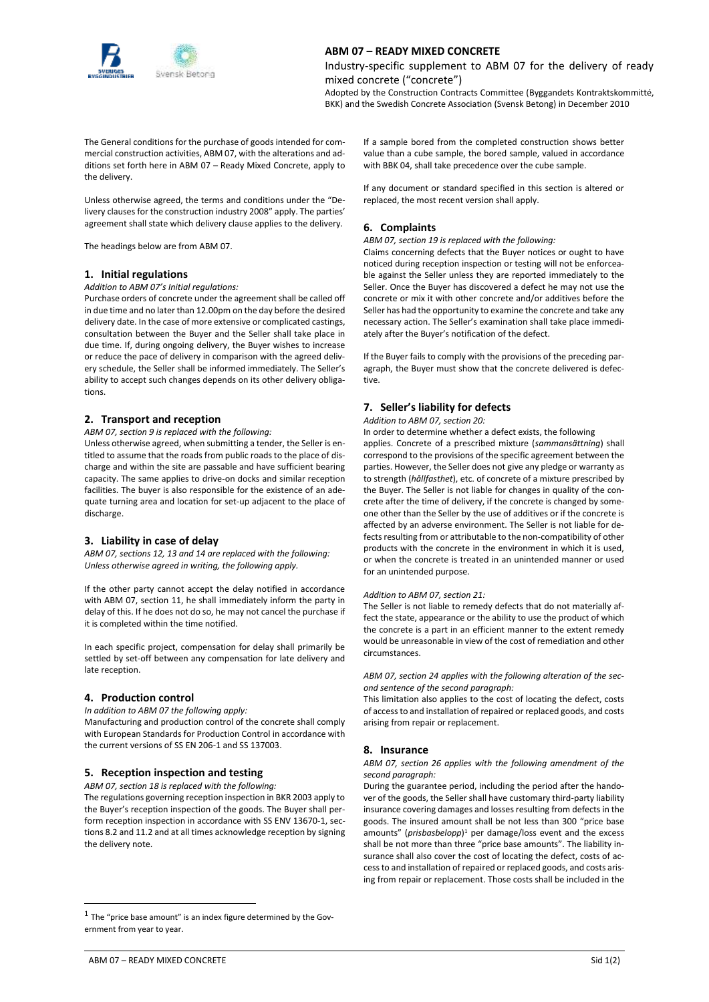

# **ABM 07 – READY MIXED CONCRETE**

Industry-specific supplement to ABM 07 for the delivery of ready mixed concrete ("concrete")

Adopted by the Construction Contracts Committee (Byggandets Kontraktskommitté, BKK) and the Swedish Concrete Association (Svensk Betong) in December 2010

The General conditions for the purchase of goods intended for commercial construction activities, ABM 07, with the alterations and additions set forth here in ABM 07 – Ready Mixed Concrete, apply to the delivery.

Unless otherwise agreed, the terms and conditions under the "Delivery clauses for the construction industry 2008" apply. The parties' agreement shall state which delivery clause applies to the delivery.

The headings below are from ABM 07.

#### **1. Initial regulations**

*Addition to ABM 07's Initial regulations:*

Purchase orders of concrete under the agreement shall be called off in due time and no later than 12.00pm on the day before the desired delivery date. In the case of more extensive or complicated castings, consultation between the Buyer and the Seller shall take place in due time. If, during ongoing delivery, the Buyer wishes to increase or reduce the pace of delivery in comparison with the agreed delivery schedule, the Seller shall be informed immediately. The Seller's ability to accept such changes depends on its other delivery obligations.

#### **2. Transport and reception**

#### *ABM 07, section 9 is replaced with the following:*

Unless otherwise agreed, when submitting a tender, the Seller is entitled to assume that the roads from public roads to the place of discharge and within the site are passable and have sufficient bearing capacity. The same applies to drive-on docks and similar reception facilities. The buyer is also responsible for the existence of an adequate turning area and location for set-up adjacent to the place of discharge.

# **3. Liability in case of delay**

*ABM 07, sections 12, 13 and 14 are replaced with the following: Unless otherwise agreed in writing, the following apply.*

If the other party cannot accept the delay notified in accordance with ABM 07, section 11, he shall immediately inform the party in delay of this. If he does not do so, he may not cancel the purchase if it is completed within the time notified.

In each specific project, compensation for delay shall primarily be settled by set-off between any compensation for late delivery and late reception.

# **4. Production control**

*In addition to ABM 07 the following apply:*

Manufacturing and production control of the concrete shall comply with European Standards for Production Control in accordance with the current versions of SS EN 206-1 and SS 137003.

# **5. Reception inspection and testing**

*ABM 07, section 18 is replaced with the following:*

The regulations governing reception inspection in BKR 2003 apply to the Buyer's reception inspection of the goods. The Buyer shall perform reception inspection in accordance with SS ENV 13670-1, sections 8.2 and 11.2 and at all times acknowledge reception by signing the delivery note.

If a sample bored from the completed construction shows better value than a cube sample, the bored sample, valued in accordance with BBK 04, shall take precedence over the cube sample.

If any document or standard specified in this section is altered or replaced, the most recent version shall apply.

# **6. Complaints**

*ABM 07, section 19 is replaced with the following:*

Claims concerning defects that the Buyer notices or ought to have noticed during reception inspection or testing will not be enforceable against the Seller unless they are reported immediately to the Seller. Once the Buyer has discovered a defect he may not use the concrete or mix it with other concrete and/or additives before the Seller has had the opportunity to examine the concrete and take any necessary action. The Seller's examination shall take place immediately after the Buyer's notification of the defect.

If the Buyer fails to comply with the provisions of the preceding paragraph, the Buyer must show that the concrete delivered is defective.

# **7. Seller's liability for defects**

*Addition to ABM 07, section 20:*

In order to determine whether a defect exists, the following

applies. Concrete of a prescribed mixture (*sammansättning*) shall correspond to the provisions of the specific agreement between the parties. However, the Seller does not give any pledge or warranty as to strength (*hållfasthet*), etc. of concrete of a mixture prescribed by the Buyer. The Seller is not liable for changes in quality of the concrete after the time of delivery, if the concrete is changed by someone other than the Seller by the use of additives or if the concrete is affected by an adverse environment. The Seller is not liable for defects resulting from or attributable to the non-compatibility of other products with the concrete in the environment in which it is used, or when the concrete is treated in an unintended manner or used for an unintended purpose.

#### *Addition to ABM 07, section 21:*

The Seller is not liable to remedy defects that do not materially affect the state, appearance or the ability to use the product of which the concrete is a part in an efficient manner to the extent remedy would be unreasonable in view of the cost of remediation and other circumstances.

*ABM 07, section 24 applies with the following alteration of the second sentence of the second paragraph:*

This limitation also applies to the cost of locating the defect, costs of access to and installation of repaired or replaced goods, and costs arising from repair or replacement.

# **8. Insurance**

*ABM 07, section 26 applies with the following amendment of the second paragraph:* 

During the guarantee period, including the period after the handover of the goods, the Seller shall have customary third-party liability insurance covering damages and losses resulting from defects in the goods. The insured amount shall be not less than 300 "price base amounts" (*prisbasbelopp*) <sup>1</sup> per damage/loss event and the excess shall be not more than three "price base amounts". The liability insurance shall also cover the cost of locating the defect, costs of access to and installation of repaired or replaced goods, and costs arising from repair or replacement. Those costs shall be included in the

 $\overline{a}$ 

 $<sup>1</sup>$  The "price base amount" is an index figure determined by the Gov-</sup> ernment from year to year.